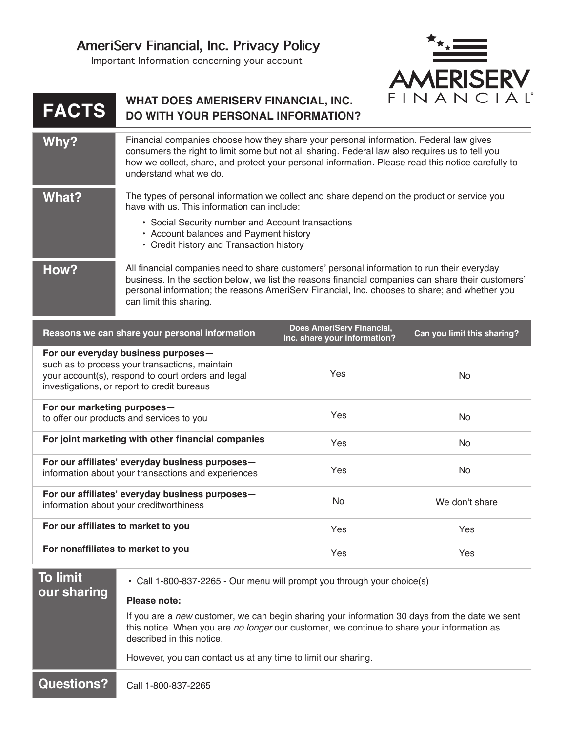Important Information concerning your account



## **FACTS WHAT DOES AMERISERV FINANCIAL, INC. DO WITH YOUR PERSONAL INFORMATION?**

| Why?  | Financial companies choose how they share your personal information. Federal law gives<br>consumers the right to limit some but not all sharing. Federal law also requires us to tell you<br>how we collect, share, and protect your personal information. Please read this notice carefully to<br>understand what we do.     |
|-------|-------------------------------------------------------------------------------------------------------------------------------------------------------------------------------------------------------------------------------------------------------------------------------------------------------------------------------|
| What? | The types of personal information we collect and share depend on the product or service you<br>have with us. This information can include:<br>• Social Security number and Account transactions<br>• Account balances and Payment history<br>• Credit history and Transaction history                                         |
| How?  | All financial companies need to share customers' personal information to run their everyday<br>business. In the section below, we list the reasons financial companies can share their customers'<br>personal information; the reasons AmeriSery Financial, Inc. chooses to share; and whether you<br>can limit this sharing. |

| Reasons we can share your personal information                                                                                                                                              | Does AmeriServ Financial,<br>Inc. share your information? | Can you limit this sharing? |
|---------------------------------------------------------------------------------------------------------------------------------------------------------------------------------------------|-----------------------------------------------------------|-----------------------------|
| For our everyday business purposes -<br>such as to process your transactions, maintain<br>your account(s), respond to court orders and legal<br>investigations, or report to credit bureaus | Yes                                                       | No.                         |
| For our marketing purposes-<br>to offer our products and services to you                                                                                                                    | <b>Yes</b>                                                | No.                         |
| For joint marketing with other financial companies                                                                                                                                          | <b>Yes</b>                                                | <b>No</b>                   |
| For our affiliates' everyday business purposes-<br>information about your transactions and experiences                                                                                      | <b>Yes</b>                                                | No.                         |
| For our affiliates' everyday business purposes-<br>information about your creditworthiness                                                                                                  | No.                                                       | We don't share              |
| For our affiliates to market to you                                                                                                                                                         | Yes                                                       | Yes                         |
| For nonaffiliates to market to you                                                                                                                                                          | Yes                                                       | Yes                         |

## **To limit our sharing**

• Call 1-800-837-2265 - Our menu will prompt you through your choice(s)

## **Please note:**

If you are a *new* customer, we can begin sharing your information 30 days from the date we sent this notice. When you are *no longer* our customer, we continue to share your information as described in this notice.

However, you can contact us at any time to limit our sharing.